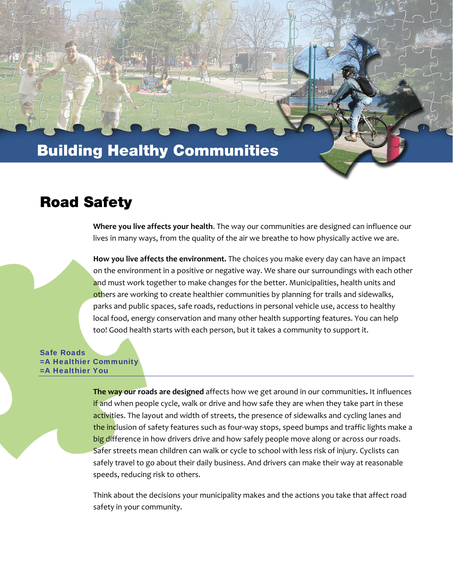# **Building Healthy Communities**

### **Road Safety**

**Where you live affects your health**. The way our communities are designed can influence our lives in many ways, from the quality of the air we breathe to how physically active we are.

**How you live affects the environment.** The choices you make every day can have an impact on the environment in a positive or negative way. We share our surroundings with each other and must work together to make changes for the better. Municipalities, health units and others are working to create healthier communities by planning for trails and sidewalks, parks and public spaces, safe roads, reductions in personal vehicle use, access to healthy local food, energy conservation and many other health supporting features. You can help too! Good health starts with each person, but it takes a community to support it.

Safe Roads =A Healthier Community =A Healthier You

> **The way our roads are designed** affects how we get around in our communities**.** It influences if and when people cycle, walk or drive and how safe they are when they take part in these activities. The layout and width of streets, the presence of sidewalks and cycling lanes and the inclusion of safety features such as four-way stops, speed bumps and traffic lights make a big difference in how drivers drive and how safely people move along or across our roads. Safer streets mean children can walk or cycle to school with less risk of injury. Cyclists can safely travel to go about their daily business. And drivers can make their way at reasonable speeds, reducing risk to others.

Think about the decisions your municipality makes and the actions you take that affect road safety in your community.